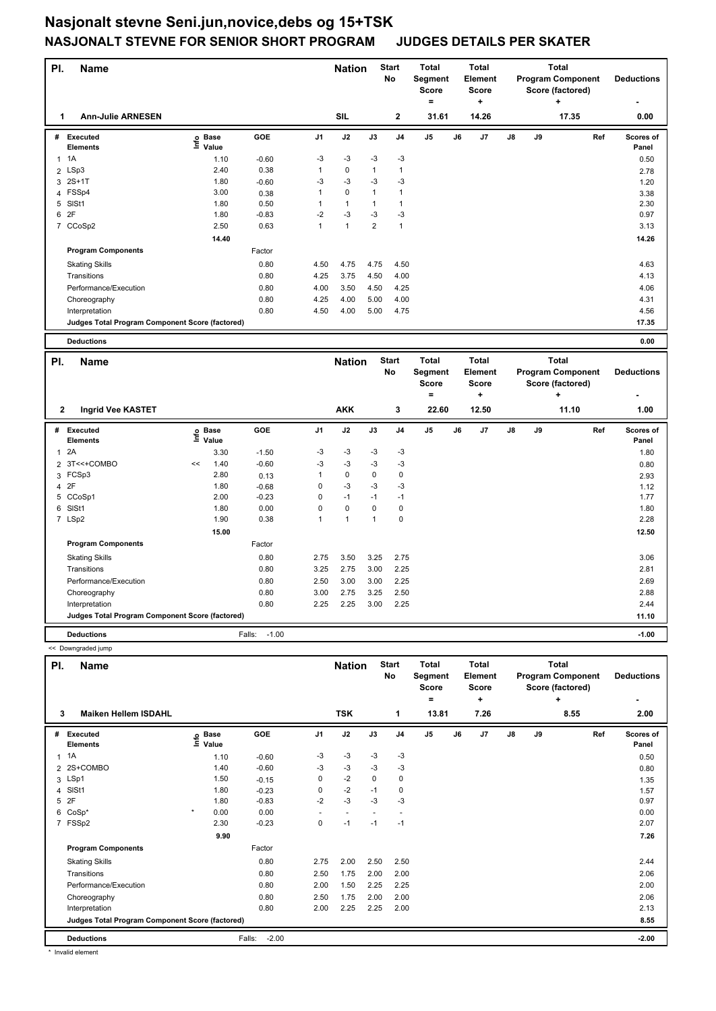## **Nasjonalt stevne Seni.jun,novice,debs og 15+TSK NASJONALT STEVNE FOR SENIOR SHORT PROGRAM JUDGES DETAILS PER SKATER**

| PI.            | Name                                                   |    |                   |         |                | <b>Nation</b> |                | <b>Start</b><br>No | <b>Total</b><br>Segment<br><b>Score</b><br>$=$ |    | <b>Total</b><br><b>Element</b><br><b>Score</b><br>$\ddot{}$ |    | <b>Total</b><br><b>Program Component</b><br>Score (factored)<br>٠ |                          |     | <b>Deductions</b>  |
|----------------|--------------------------------------------------------|----|-------------------|---------|----------------|---------------|----------------|--------------------|------------------------------------------------|----|-------------------------------------------------------------|----|-------------------------------------------------------------------|--------------------------|-----|--------------------|
| 1              | <b>Ann-Julie ARNESEN</b>                               |    |                   |         |                | <b>SIL</b>    |                | $\mathbf 2$        | 31.61                                          |    | 14.26                                                       |    |                                                                   | 17.35                    |     | 0.00               |
|                | # Executed<br><b>Elements</b>                          |    | e Base<br>⊑ Value | GOE     | J1             | J2            | J3             | J4                 | J <sub>5</sub>                                 | J6 | J7                                                          | J8 | J9                                                                |                          | Ref | Scores of<br>Panel |
| $\mathbf{1}$   | 1A                                                     |    | 1.10              | $-0.60$ | $-3$           | $-3$          | $-3$           | $-3$               |                                                |    |                                                             |    |                                                                   |                          |     | 0.50               |
|                | 2 LSp3                                                 |    | 2.40              | 0.38    | $\mathbf{1}$   | $\pmb{0}$     | $\mathbf{1}$   | $\mathbf{1}$       |                                                |    |                                                             |    |                                                                   |                          |     | 2.78               |
|                | 3 2S+1T                                                |    | 1.80              | $-0.60$ | $-3$           | $-3$          | -3             | $-3$               |                                                |    |                                                             |    |                                                                   |                          |     | 1.20               |
|                | 4 FSSp4                                                |    | 3.00              | 0.38    | 1              | $\mathbf 0$   | $\mathbf{1}$   | $\mathbf{1}$       |                                                |    |                                                             |    |                                                                   |                          |     | 3.38               |
| 5              | SISt1                                                  |    | 1.80              | 0.50    | 1              | $\mathbf{1}$  | $\mathbf{1}$   | $\mathbf{1}$       |                                                |    |                                                             |    |                                                                   |                          |     | 2.30               |
|                | 6 2F                                                   |    | 1.80              | $-0.83$ | $-2$           | $-3$          | $-3$           | $-3$               |                                                |    |                                                             |    |                                                                   |                          |     | 0.97               |
|                | 7 CCoSp2                                               |    | 2.50              | 0.63    | $\mathbf{1}$   | $\mathbf{1}$  | $\overline{2}$ | $\mathbf{1}$       |                                                |    |                                                             |    |                                                                   |                          |     | 3.13               |
|                |                                                        |    | 14.40             |         |                |               |                |                    |                                                |    |                                                             |    |                                                                   |                          |     | 14.26              |
|                | <b>Program Components</b>                              |    |                   | Factor  |                |               |                |                    |                                                |    |                                                             |    |                                                                   |                          |     |                    |
|                | <b>Skating Skills</b>                                  |    |                   | 0.80    | 4.50           | 4.75          | 4.75           | 4.50               |                                                |    |                                                             |    |                                                                   |                          |     | 4.63               |
|                | Transitions                                            |    |                   | 0.80    | 4.25           | 3.75          | 4.50           | 4.00               |                                                |    |                                                             |    |                                                                   |                          |     | 4.13               |
|                | Performance/Execution                                  |    |                   | 0.80    | 4.00           | 3.50          | 4.50           | 4.25               |                                                |    |                                                             |    |                                                                   |                          |     | 4.06               |
|                | Choreography                                           |    |                   | 0.80    | 4.25           | 4.00          | 5.00           | 4.00               |                                                |    |                                                             |    |                                                                   |                          |     | 4.31               |
|                | Interpretation                                         |    |                   | 0.80    | 4.50           | 4.00          | 5.00           | 4.75               |                                                |    |                                                             |    |                                                                   |                          |     | 4.56               |
|                | Judges Total Program Component Score (factored)        |    |                   |         |                |               |                |                    |                                                |    |                                                             |    |                                                                   |                          |     | 17.35              |
|                | <b>Deductions</b>                                      |    |                   |         |                |               |                |                    |                                                |    |                                                             |    |                                                                   |                          |     | 0.00               |
|                |                                                        |    |                   |         |                |               |                |                    |                                                |    |                                                             |    |                                                                   |                          |     |                    |
|                |                                                        |    |                   |         |                |               |                |                    |                                                |    |                                                             |    |                                                                   |                          |     |                    |
| PI.            | Name                                                   |    |                   |         |                | <b>Nation</b> |                | <b>Start</b>       | <b>Total</b>                                   |    | <b>Total</b>                                                |    |                                                                   | <b>Total</b>             |     |                    |
|                |                                                        |    |                   |         |                |               |                | No                 | Segment<br><b>Score</b>                        |    | Element<br><b>Score</b>                                     |    |                                                                   | <b>Program Component</b> |     | <b>Deductions</b>  |
|                |                                                        |    |                   |         |                |               |                |                    | $=$                                            |    | ÷                                                           |    |                                                                   | Score (factored)<br>÷    |     |                    |
| 2              | Ingrid Vee KASTET                                      |    |                   |         |                | <b>AKK</b>    |                | 3                  | 22.60                                          |    | 12.50                                                       |    |                                                                   | 11.10                    |     | 1.00               |
|                |                                                        |    |                   |         |                |               |                |                    |                                                |    |                                                             |    |                                                                   |                          |     |                    |
| #              | <b>Executed</b><br><b>Elements</b>                     |    | e Base<br>⊑ Value | GOE     | J <sub>1</sub> | J2            | J3             | J <sub>4</sub>     | J5                                             | J6 | J7                                                          | J8 | J9                                                                |                          | Ref | Scores of<br>Panel |
| $\mathbf{1}$   | 2A                                                     |    | 3.30              | $-1.50$ | $-3$           | -3            | -3             | $-3$               |                                                |    |                                                             |    |                                                                   |                          |     | 1.80               |
| $\overline{2}$ | 3T<<+COMBO                                             | << | 1.40              | $-0.60$ | $-3$           | $-3$          | -3             | $-3$               |                                                |    |                                                             |    |                                                                   |                          |     | 0.80               |
|                | 3 FCSp3                                                |    | 2.80              | 0.13    | 1              | $\mathbf 0$   | 0              | $\mathbf 0$        |                                                |    |                                                             |    |                                                                   |                          |     | 2.93               |
| $\overline{4}$ | 2F                                                     |    | 1.80              | $-0.68$ | 0              | $-3$          | -3             | -3                 |                                                |    |                                                             |    |                                                                   |                          |     | 1.12               |
|                | 5 CCoSp1                                               |    | 2.00              | $-0.23$ | 0              | $-1$          | $-1$           | $-1$               |                                                |    |                                                             |    |                                                                   |                          |     | 1.77               |
| 6              | SISt1                                                  |    | 1.80              | 0.00    | 0              | $\mathbf 0$   | 0              | $\mathbf 0$        |                                                |    |                                                             |    |                                                                   |                          |     | 1.80               |
|                | 7 LSp2                                                 |    | 1.90              | 0.38    | 1              | $\mathbf{1}$  | $\mathbf{1}$   | $\mathbf 0$        |                                                |    |                                                             |    |                                                                   |                          |     | 2.28               |
|                |                                                        |    | 15.00             |         |                |               |                |                    |                                                |    |                                                             |    |                                                                   |                          |     | 12.50              |
|                | <b>Program Components</b>                              |    |                   | Factor  |                |               |                |                    |                                                |    |                                                             |    |                                                                   |                          |     |                    |
|                | <b>Skating Skills</b>                                  |    |                   | 0.80    | 2.75           | 3.50          | 3.25           | 2.75               |                                                |    |                                                             |    |                                                                   |                          |     | 3.06               |
|                | Transitions                                            |    |                   | 0.80    | 3.25           | 2.75          | 3.00           | 2.25               |                                                |    |                                                             |    |                                                                   |                          |     | 2.81               |
|                | Performance/Execution                                  |    |                   | 0.80    | 2.50           | 3.00          | 3.00           | 2.25               |                                                |    |                                                             |    |                                                                   |                          |     | 2.69               |
|                | Choreography                                           |    |                   | 0.80    | 3.00           | 2.75          | 3.25           | 2.50               |                                                |    |                                                             |    |                                                                   |                          |     | 2.88               |
|                | Interpretation                                         |    |                   | 0.80    | 2.25           | 2.25          | 3.00           | 2.25               |                                                |    |                                                             |    |                                                                   |                          |     | 2.44               |
|                | <b>Judges Total Program Component Score (factored)</b> |    |                   |         |                |               |                |                    |                                                |    |                                                             |    |                                                                   |                          |     | 11.10              |

<< Downgraded jump

| PI.                                             | - - - - - - <del>-</del> - - - - - - - - - - - -<br>Name |         |                      |                   |                | <b>Nation</b>            |      | <b>Start</b>   | Total                   |    | <b>Total</b>            |    |    | <b>Total</b>                                 |                    |
|-------------------------------------------------|----------------------------------------------------------|---------|----------------------|-------------------|----------------|--------------------------|------|----------------|-------------------------|----|-------------------------|----|----|----------------------------------------------|--------------------|
|                                                 |                                                          |         |                      |                   |                |                          |      | <b>No</b>      | Segment<br><b>Score</b> |    | Element<br><b>Score</b> |    |    | <b>Program Component</b><br>Score (factored) | <b>Deductions</b>  |
|                                                 |                                                          |         |                      |                   |                |                          |      |                | =                       |    | ٠                       |    |    | ÷                                            | ٠                  |
|                                                 | <b>Maiken Hellem ISDAHL</b><br>3                         |         |                      |                   |                | <b>TSK</b>               |      | 1              | 13.81                   |    | 7.26                    |    |    | 8.55                                         | 2.00               |
| #                                               | <b>Executed</b><br><b>Elements</b>                       | ١nf٥    | <b>Base</b><br>Value | GOE               | J <sub>1</sub> | J2                       | J3   | J <sub>4</sub> | J <sub>5</sub>          | J6 | J <sub>7</sub>          | J8 | J9 | Ref                                          | Scores of<br>Panel |
| 1                                               | 1A                                                       |         | 1.10                 | $-0.60$           | $-3$           | $-3$                     | $-3$ | -3             |                         |    |                         |    |    |                                              | 0.50               |
| 2                                               | 2S+COMBO                                                 |         | 1.40                 | $-0.60$           | -3             | $-3$                     | -3   | -3             |                         |    |                         |    |    |                                              | 0.80               |
|                                                 | 3 LSp1                                                   |         | 1.50                 | $-0.15$           | 0              | $-2$                     | 0    | 0              |                         |    |                         |    |    |                                              | 1.35               |
| 4                                               | SISt1                                                    |         | 1.80                 | $-0.23$           | 0              | $-2$                     | $-1$ | 0              |                         |    |                         |    |    |                                              | 1.57               |
| 5                                               | 2F                                                       |         | 1.80                 | $-0.83$           | $-2$           | $-3$                     | -3   | $-3$           |                         |    |                         |    |    |                                              | 0.97               |
| 6                                               | $CoSp*$                                                  | $\star$ | 0.00                 | 0.00              |                | $\overline{\phantom{a}}$ |      |                |                         |    |                         |    |    |                                              | 0.00               |
|                                                 | 7 FSSp2                                                  |         | 2.30                 | $-0.23$           | 0              | $-1$                     | $-1$ | -1             |                         |    |                         |    |    |                                              | 2.07               |
|                                                 |                                                          |         | 9.90                 |                   |                |                          |      |                |                         |    |                         |    |    |                                              | 7.26               |
|                                                 | <b>Program Components</b>                                |         |                      | Factor            |                |                          |      |                |                         |    |                         |    |    |                                              |                    |
|                                                 | <b>Skating Skills</b>                                    |         |                      | 0.80              | 2.75           | 2.00                     | 2.50 | 2.50           |                         |    |                         |    |    |                                              | 2.44               |
|                                                 | Transitions                                              |         |                      | 0.80              | 2.50           | 1.75                     | 2.00 | 2.00           |                         |    |                         |    |    |                                              | 2.06               |
|                                                 | Performance/Execution                                    |         |                      | 0.80              | 2.00           | 1.50                     | 2.25 | 2.25           |                         |    |                         |    |    |                                              | 2.00               |
|                                                 | Choreography                                             |         |                      | 0.80              | 2.50           | 1.75                     | 2.00 | 2.00           |                         |    |                         |    |    |                                              | 2.06               |
|                                                 | Interpretation                                           |         |                      | 0.80              | 2.00           | 2.25                     | 2.25 | 2.00           |                         |    |                         |    |    |                                              | 2.13               |
| Judges Total Program Component Score (factored) |                                                          |         |                      |                   |                |                          |      |                |                         |    |                         |    |    |                                              | 8.55               |
|                                                 | <b>Deductions</b>                                        |         |                      | $-2.00$<br>Falls: |                |                          |      |                |                         |    |                         |    |    |                                              | $-2.00$            |

\* Invalid element